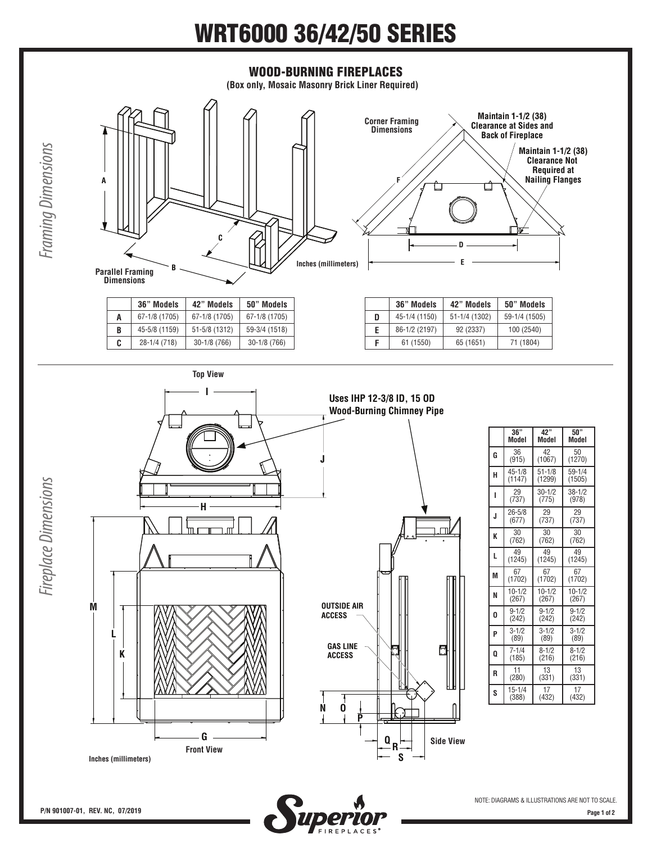## WRT6000 36/42/50 SERIES



Шогч